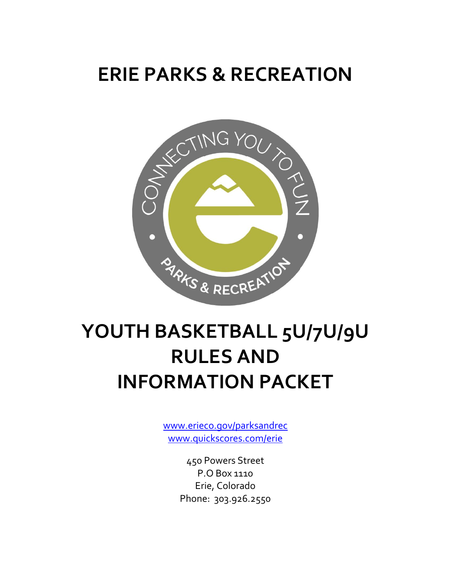## **ERIE PARKS & RECREATION**



# **YOUTH BASKETBALL 5U/7U/9U RULES AND INFORMATION PACKET**

[www.erieco.gov/parksandrec](http://www.erieco.gov/parksandrec) [www.quickscores.com/erie](http://www.quickscores.com/erie)

> 450 Powers Street P.O Box 1110 Erie, Colorado Phone: 303.926.2550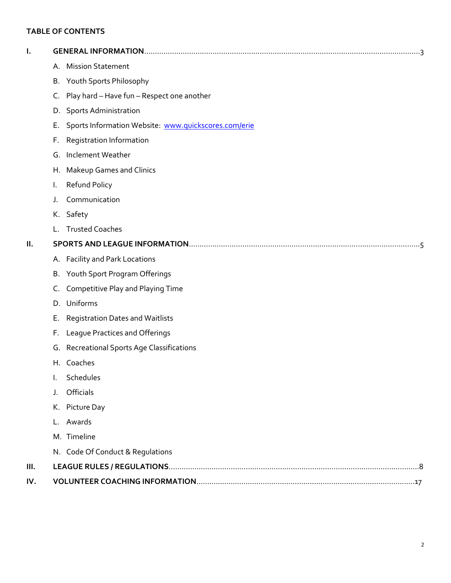### **TABLE OF CONTENTS**

| ı.   |    |                                                      |
|------|----|------------------------------------------------------|
|      |    | A. Mission Statement                                 |
|      |    | B. Youth Sports Philosophy                           |
|      |    | C. Play hard - Have fun - Respect one another        |
|      |    | D. Sports Administration                             |
|      | Е. | Sports Information Website: www.quickscores.com/erie |
|      | F. | Registration Information                             |
|      | G. | Inclement Weather                                    |
|      |    | H. Makeup Games and Clinics                          |
|      | I. | Refund Policy                                        |
|      | J. | Communication                                        |
|      |    | K. Safety                                            |
|      | L. | <b>Trusted Coaches</b>                               |
| П.   |    |                                                      |
|      |    | A. Facility and Park Locations                       |
|      |    | B. Youth Sport Program Offerings                     |
|      | C. | Competitive Play and Playing Time                    |
|      |    | D. Uniforms                                          |
|      | Е. | <b>Registration Dates and Waitlists</b>              |
|      | F. | League Practices and Offerings                       |
|      |    | G. Recreational Sports Age Classifications           |
|      |    | H. Coaches                                           |
|      |    | Schedules                                            |
|      | J. | Officials                                            |
|      |    | K. Picture Day                                       |
|      | L. | Awards                                               |
|      |    | M. Timeline                                          |
|      | N. | Code Of Conduct & Regulations                        |
| III. |    |                                                      |
| IV.  |    |                                                      |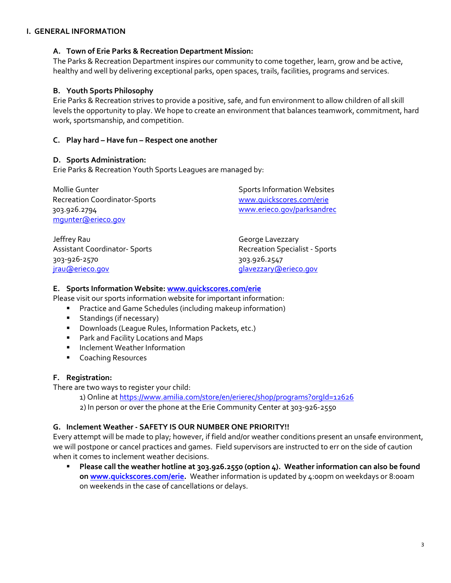#### **I. GENERAL INFORMATION**

#### **A. Town of Erie Parks & Recreation Department Mission:**

The Parks & Recreation Department inspires our community to come together, learn, grow and be active, healthy and well by delivering exceptional parks, open spaces, trails, facilities, programs and services.

### **B. Youth Sports Philosophy**

Erie Parks & Recreation strives to provide a positive, safe, and fun environment to allow children of all skill levels the opportunity to play. We hope to create an environment that balances teamwork, commitment, hard work, sportsmanship, and competition.

### **C. Play hard – Have fun – Respect one another**

#### **D. Sports Administration:**

Erie Parks & Recreation Youth Sports Leagues are managed by:

 Recreation Coordinator-Sports [www.quickscores.com/erie](http://www.quickscores.com/erie) 303.926.2794 [www.erieco.gov/parksandrec](http://www.erieco.gov/parksandrec) [mgunter@erieco.gov](mailto:mgunter@erieco.gov)

Jeffrey Rau George Lavezzary Assistant Coordinator- Sports **Recreation Specialist** - Sports 303-926-2570 303.926.2547 [jrau@erieco.gov](mailto:jrau@erieco.gov) [glavezzary@erieco.gov](mailto:glavezzary@erieco.gov)

Mollie Gunter **Sports Information Websites** Sports Information Websites

#### **E. Sports Information Website: [www.quickscores.com/erie](http://www.quickscores.com/erie)**

Please visit our sports information website for important information:

- **Practice and Game Schedules (including makeup information)**
- **Standings (if necessary)**
- **Downloads (League Rules, Information Packets, etc.)**
- **Park and Facility Locations and Maps**
- **Inclement Weather Information**
- **Coaching Resources**

### **F. Registration:**

There are two ways to register your child:

1) Online at https://www.amilia.com/store/en/erierec/shop/programs?orgId=12626

2) In person or over the phone at the Erie Community Center at 303-926-2550

### **G. Inclement Weather - SAFETY IS OUR NUMBER ONE PRIORITY!!**

Every attempt will be made to play; however, if field and/or weather conditions present an unsafe environment, we will postpone or cancel practices and games. Field supervisors are instructed to err on the side of caution when it comes to inclement weather decisions.

**Please call the weather hotline at 303.926.2550 (option 4). Weather information can also be found o[n www.quickscores.com/erie.](http://www.quickscores.com/erie)** Weather information is updated by 4:00pm on weekdays or 8:00am on weekends in the case of cancellations or delays.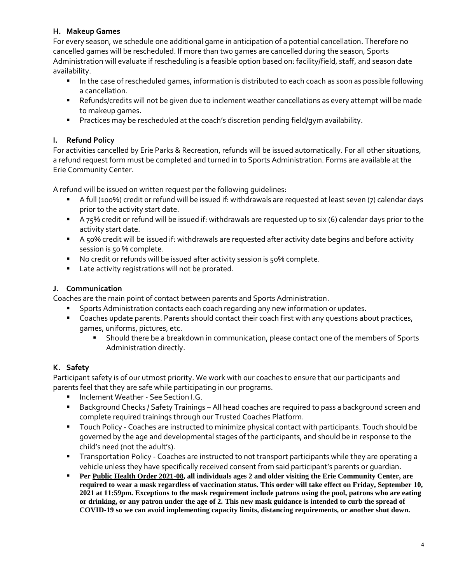### **H. Makeup Games**

For every season, we schedule one additional game in anticipation of a potential cancellation. Therefore no cancelled games will be rescheduled. If more than two games are cancelled during the season, Sports Administration will evaluate if rescheduling is a feasible option based on: facility/field, staff, and season date availability.

- In the case of rescheduled games, information is distributed to each coach as soon as possible following a cancellation.
- Refunds/credits will not be given due to inclement weather cancellations as every attempt will be made to makeup games.
- Practices may be rescheduled at the coach's discretion pending field/gym availability.

### **I. Refund Policy**

For activities cancelled by Erie Parks & Recreation, refunds will be issued automatically. For all other situations, a refund request form must be completed and turned in to Sports Administration. Forms are available at the Erie Community Center.

A refund will be issued on written request per the following guidelines:

- A full (100%) credit or refund will be issued if: withdrawals are requested at least seven (7) calendar days prior to the activity start date.
- A 75% credit or refund will be issued if: withdrawals are requested up to six (6) calendar days prior to the activity start date.
- A 50% credit will be issued if: withdrawals are requested after activity date begins and before activity session is 50 % complete.
- No credit or refunds will be issued after activity session is 50% complete.
- **E** Late activity registrations will not be prorated.

### **J. Communication**

Coaches are the main point of contact between parents and Sports Administration.

- Sports Administration contacts each coach regarding any new information or updates.
- **Coaches update parents. Parents should contact their coach first with any questions about practices,** games, uniforms, pictures, etc.
	- Should there be a breakdown in communication, please contact one of the members of Sports Administration directly.

### **K. Safety**

Participant safety is of our utmost priority. We work with our coaches to ensure that our participants and parents feel that they are safe while participating in our programs.

- Inclement Weather See Section I.G.
- Background Checks / Safety Trainings All head coaches are required to pass a background screen and complete required trainings through our Trusted Coaches Platform.
- Touch Policy Coaches are instructed to minimize physical contact with participants. Touch should be governed by the age and developmental stages of the participants, and should be in response to the child's need (not the adult's).
- **Transportation Policy Coaches are instructed to not transport participants while they are operating a** vehicle unless they have specifically received consent from said participant's parents or guardian.
- **Per [Public Health Order 2021-08,](https://boco.org/pho-2021-08) all individuals ages 2 and older visiting the Erie Community Center, are required to wear a mask regardless of vaccination status. This order will take effect on Friday, September 10, 2021 at 11:59pm. Exceptions to the mask requirement include patrons using the pool, patrons who are eating or drinking, or any patron under the age of 2. This new mask guidance is intended to curb the spread of COVID-19 so we can avoid implementing capacity limits, distancing requirements, or another shut down.**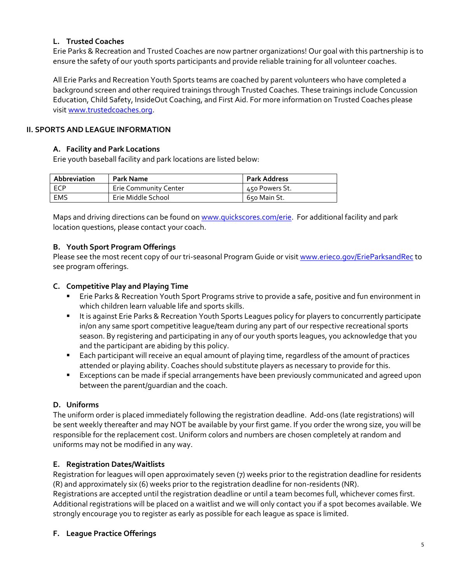### **L. Trusted Coaches**

Erie Parks & Recreation and Trusted Coaches are now partner organizations! Our goal with this partnership is to ensure the safety of our youth sports participants and provide reliable training for all volunteer coaches.

All Erie Parks and Recreation Youth Sports teams are coached by parent volunteers who have completed a background screen and other required trainings through Trusted Coaches. These trainings include Concussion Education, Child Safety, InsideOut Coaching, and First Aid. For more information on Trusted Coaches please visi[t www.trustedcoaches.org.](http://www.trustedcoaches.org/)

### **II. SPORTS AND LEAGUE INFORMATION**

### **A. Facility and Park Locations**

Erie youth baseball facility and park locations are listed below:

| Abbreviation | Park Name                    | <b>Park Address</b> |
|--------------|------------------------------|---------------------|
| ECP          | <b>Erie Community Center</b> | 450 Powers St.      |
| EMS          | Erie Middle School           | 650 Main St.        |

Maps and driving directions can be found o[n www.quickscores.com/erie.](http://www.quickscores.com/erie) For additional facility and park location questions, please contact your coach.

### **B. Youth Sport Program Offerings**

Please see the most recent copy of our tri-seasonal Program Guide or visi[t www.erieco.gov/ErieParksandRec](http://www.erieco.gov/ErieParksandRec) to see program offerings.

### **C. Competitive Play and Playing Time**

- Erie Parks & Recreation Youth Sport Programs strive to provide a safe, positive and fun environment in which children learn valuable life and sports skills.
- It is against Erie Parks & Recreation Youth Sports Leagues policy for players to concurrently participate in/on any same sport competitive league/team during any part of our respective recreational sports season. By registering and participating in any of our youth sports leagues, you acknowledge that you and the participant are abiding by this policy.
- Each participant will receive an equal amount of playing time, regardless of the amount of practices attended or playing ability. Coaches should substitute players as necessary to provide for this.
- Exceptions can be made if special arrangements have been previously communicated and agreed upon between the parent/guardian and the coach.

### **D. Uniforms**

The uniform order is placed immediately following the registration deadline. Add-ons (late registrations) will be sent weekly thereafter and may NOT be available by your first game. If you order the wrong size, you will be responsible for the replacement cost. Uniform colors and numbers are chosen completely at random and uniforms may not be modified in any way.

### **E. Registration Dates/Waitlists**

Registration for leagues will open approximately seven (7) weeks prior to the registration deadline for residents (R) and approximately six (6) weeks prior to the registration deadline for non-residents (NR). Registrations are accepted until the registration deadline or until a team becomes full, whichever comes first. Additional registrations will be placed on a waitlist and we will only contact you if a spot becomes available. We strongly encourage you to register as early as possible for each league as space is limited.

### **F. League Practice Offerings**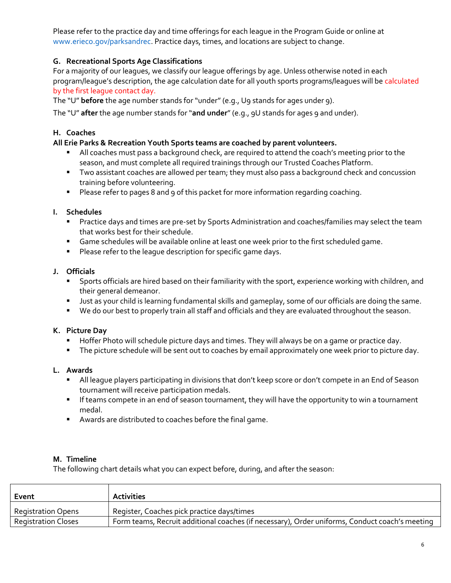Please refer to the practice day and time offerings for each league in the Program Guide or online at www.erieco.gov/parksandrec. Practice days, times, and locations are subject to change.

### **G. Recreational Sports Age Classifications**

For a majority of our leagues, we classify our league offerings by age. Unless otherwise noted in each program/league's description, the age calculation date for all youth sports programs/leagues will be calculated by the first league contact day.

The "U" **before** the age number stands for "under" (e.g., U9 stands for ages under 9).

The "U" **after** the age number stands for "**and under**" (e.g., 9U stands for ages 9 and under).

### **H. Coaches**

### **All Erie Parks & Recreation Youth Sports teams are coached by parent volunteers.**

- All coaches must pass a background check, are required to attend the coach's meeting prior to the season, and must complete all required trainings through our Trusted Coaches Platform.
- Two assistant coaches are allowed per team; they must also pass a background check and concussion training before volunteering.
- **Please refer to pages 8 and 9 of this packet for more information regarding coaching.**

### **I. Schedules**

- **Practice days and times are pre-set by Sports Administration and coaches/families may select the team** that works best for their schedule.
- **Game schedules will be available online at least one week prior to the first scheduled game.**
- **Please refer to the league description for specific game days.**

### **J. Officials**

- Sports officials are hired based on their familiarity with the sport, experience working with children, and their general demeanor.
- **Just as your child is learning fundamental skills and gameplay, some of our officials are doing the same.**
- We do our best to properly train all staff and officials and they are evaluated throughout the season.

### **K. Picture Day**

- Hoffer Photo will schedule picture days and times. They will always be on a game or practice day.
- The picture schedule will be sent out to coaches by email approximately one week prior to picture day.

### **L. Awards**

- All league players participating in divisions that don't keep score or don't compete in an End of Season tournament will receive participation medals.
- **If teams compete in an end of season tournament, they will have the opportunity to win a tournament** medal.
- Awards are distributed to coaches before the final game.

### **M. Timeline**

The following chart details what you can expect before, during, and after the season:

| Event                      | <b>Activities</b>                                                                              |
|----------------------------|------------------------------------------------------------------------------------------------|
| <b>Registration Opens</b>  | Register, Coaches pick practice days/times                                                     |
| <b>Registration Closes</b> | Form teams, Recruit additional coaches (if necessary), Order uniforms, Conduct coach's meeting |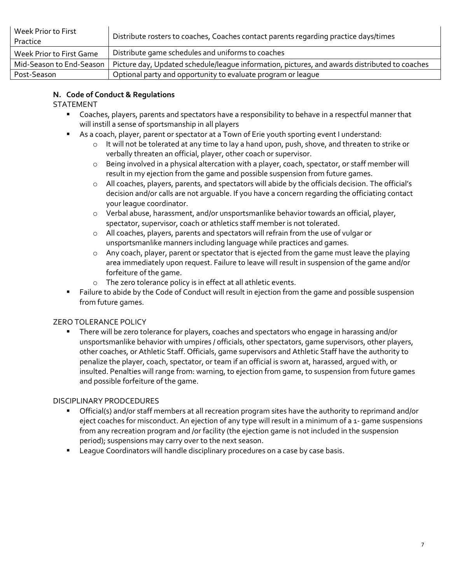| Week Prior to First<br>Practice | Distribute rosters to coaches, Coaches contact parents regarding practice days/times          |
|---------------------------------|-----------------------------------------------------------------------------------------------|
| Week Prior to First Game        | Distribute game schedules and uniforms to coaches                                             |
| Mid-Season to End-Season        | Picture day, Updated schedule/league information, pictures, and awards distributed to coaches |
| Post-Season                     | Optional party and opportunity to evaluate program or league                                  |

### **N. Code of Conduct & Regulations**

### STATEMENT

- Coaches, players, parents and spectators have a responsibility to behave in a respectful manner that will instill a sense of sportsmanship in all players
- As a coach, player, parent or spectator at a Town of Erie youth sporting event I understand:
	- $\circ$  It will not be tolerated at any time to lay a hand upon, push, shove, and threaten to strike or verbally threaten an official, player, other coach or supervisor.
	- o Being involved in a physical altercation with a player, coach, spectator, or staff member will result in my ejection from the game and possible suspension from future games.
	- o All coaches, players, parents, and spectators will abide by the officials decision. The official's decision and/or calls are not arguable. If you have a concern regarding the officiating contact your league coordinator.
	- o Verbal abuse, harassment, and/or unsportsmanlike behavior towards an official, player, spectator, supervisor, coach or athletics staff member is not tolerated.
	- o All coaches, players, parents and spectators will refrain from the use of vulgar or unsportsmanlike manners including language while practices and games.
	- o Any coach, player, parent or spectator that is ejected from the game must leave the playing area immediately upon request. Failure to leave will result in suspension of the game and/or forfeiture of the game.
	- o The zero tolerance policy is in effect at all athletic events.
- Failure to abide by the Code of Conduct will result in ejection from the game and possible suspension from future games.

### ZERO TOLERANCE POLICY

 There will be zero tolerance for players, coaches and spectators who engage in harassing and/or unsportsmanlike behavior with umpires / officials, other spectators, game supervisors, other players, other coaches, or Athletic Staff. Officials, game supervisors and Athletic Staff have the authority to penalize the player, coach, spectator, or team if an official is sworn at, harassed, argued with, or insulted. Penalties will range from: warning, to ejection from game, to suspension from future games and possible forfeiture of the game.

### DISCIPLINARY PRODCEDURES

- Official(s) and/or staff members at all recreation program sites have the authority to reprimand and/or eject coaches for misconduct. An ejection of any type will result in a minimum of a 1- game suspensions from any recreation program and /or facility (the ejection game is not included in the suspension period); suspensions may carry over to the next season.
- **EXECO** League Coordinators will handle disciplinary procedures on a case by case basis.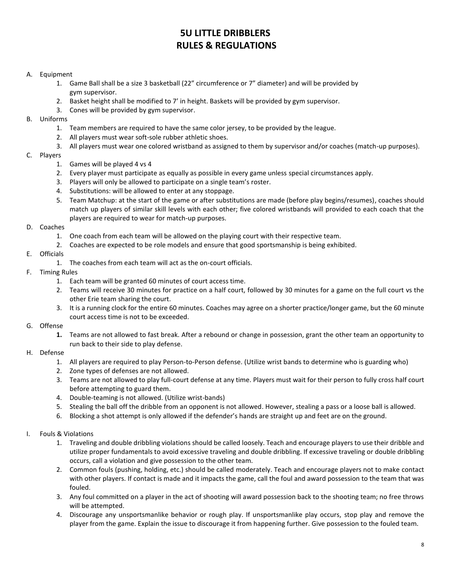### **5U LITTLE DRIBBLERS RULES & REGULATIONS**

#### A. Equipment

- 1. Game Ball shall be a size 3 basketball (22" circumference or 7" diameter) and will be provided by gym supervisor.
- 2. Basket height shall be modified to 7' in height. Baskets will be provided by gym supervisor.
- 3. Cones will be provided by gym supervisor.

#### B. Uniforms

- 1. Team members are required to have the same color jersey, to be provided by the league.
- 2. All players must wear soft-sole rubber athletic shoes.
- 3. All players must wear one colored wristband as assigned to them by supervisor and/or coaches (match-up purposes).

#### C. Players

- 1. Games will be played 4 vs 4
- 2. Every player must participate as equally as possible in every game unless special circumstances apply.
- 3. Players will only be allowed to participate on a single team's roster.
- 4. Substitutions: will be allowed to enter at any stoppage.
- 5. Team Matchup: at the start of the game or after substitutions are made (before play begins/resumes), coaches should match up players of similar skill levels with each other; five colored wristbands will provided to each coach that the players are required to wear for match-up purposes.

#### D. Coaches

- 1. One coach from each team will be allowed on the playing court with their respective team.
- 2. Coaches are expected to be role models and ensure that good sportsmanship is being exhibited.

#### E. Officials

1. The coaches from each team will act as the on-court officials.

#### F. Timing Rules

- 1. Each team will be granted 60 minutes of court access time.
- 2. Teams will receive 30 minutes for practice on a half court, followed by 30 minutes for a game on the full court vs the other Erie team sharing the court.
- 3. It is a running clock for the entire 60 minutes. Coaches may agree on a shorter practice/longer game, but the 60 minute court access time is not to be exceeded.

#### G. Offense

**1.** Teams are not allowed to fast break. After a rebound or change in possession, grant the other team an opportunity to run back to their side to play defense.

#### H. Defense

- 1. All players are required to play Person-to-Person defense. (Utilize wrist bands to determine who is guarding who)
- 2. Zone types of defenses are not allowed.
- 3. Teams are not allowed to play full-court defense at any time. Players must wait for their person to fully cross half court before attempting to guard them.
- 4. Double-teaming is not allowed. (Utilize wrist-bands)
- 5. Stealing the ball off the dribble from an opponent is not allowed. However, stealing a pass or a loose ball is allowed.
- 6. Blocking a shot attempt is only allowed if the defender's hands are straight up and feet are on the ground.

#### I. Fouls & Violations

- 1. Traveling and double dribbling violations should be called loosely. Teach and encourage players to use their dribble and utilize proper fundamentals to avoid excessive traveling and double dribbling. If excessive traveling or double dribbling occurs, call a violation and give possession to the other team.
- 2. Common fouls (pushing, holding, etc.) should be called moderately. Teach and encourage players not to make contact with other players. If contact is made and it impacts the game, call the foul and award possession to the team that was fouled.
- 3. Any foul committed on a player in the act of shooting will award possession back to the shooting team; no free throws will be attempted.
- 4. Discourage any unsportsmanlike behavior or rough play. If unsportsmanlike play occurs, stop play and remove the player from the game. Explain the issue to discourage it from happening further. Give possession to the fouled team.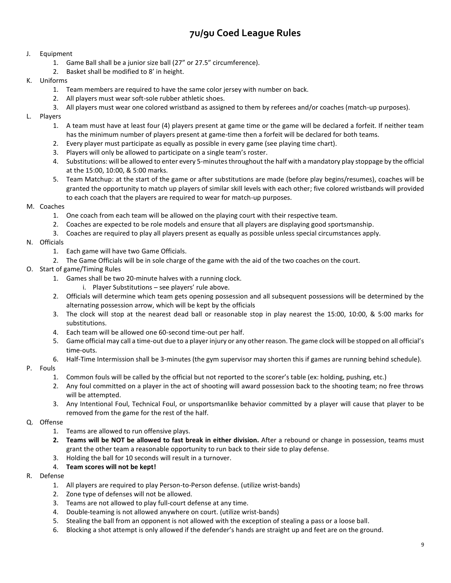### **7u/9u Coed League Rules**

#### J. Equipment

- 1. Game Ball shall be a junior size ball (27" or 27.5" circumference).
- 2. Basket shall be modified to 8' in height.

#### K. Uniforms

- 1. Team members are required to have the same color jersey with number on back.
- 2. All players must wear soft-sole rubber athletic shoes.
- 3. All players must wear one colored wristband as assigned to them by referees and/or coaches (match-up purposes).

#### L. Players

- 1. A team must have at least four (4) players present at game time or the game will be declared a forfeit. If neither team has the minimum number of players present at game-time then a forfeit will be declared for both teams.
- 2. Every player must participate as equally as possible in every game (see playing time chart).
- 3. Players will only be allowed to participate on a single team's roster.
- 4. Substitutions: will be allowed to enter every 5-minutes throughout the half with a mandatory play stoppage by the official at the 15:00, 10:00, & 5:00 marks.
- 5. Team Matchup: at the start of the game or after substitutions are made (before play begins/resumes), coaches will be granted the opportunity to match up players of similar skill levels with each other; five colored wristbands will provided to each coach that the players are required to wear for match-up purposes.

#### M. Coaches

- 1. One coach from each team will be allowed on the playing court with their respective team.
- 2. Coaches are expected to be role models and ensure that all players are displaying good sportsmanship.
- 3. Coaches are required to play all players present as equally as possible unless special circumstances apply.

#### N. Officials

- 1. Each game will have two Game Officials.
- 2. The Game Officials will be in sole charge of the game with the aid of the two coaches on the court.
- O. Start of game/Timing Rules
	- 1. Games shall be two 20-minute halves with a running clock.
		- i. Player Substitutions see players' rule above.
	- 2. Officials will determine which team gets opening possession and all subsequent possessions will be determined by the alternating possession arrow, which will be kept by the officials
	- 3. The clock will stop at the nearest dead ball or reasonable stop in play nearest the 15:00, 10:00, & 5:00 marks for substitutions.
	- 4. Each team will be allowed one 60-second time-out per half.
	- 5. Game official may call a time-out due to a player injury or any other reason. The game clock will be stopped on all official's time-outs.
	- 6. Half-Time Intermission shall be 3-minutes (the gym supervisor may shorten this if games are running behind schedule).

#### P. Fouls

- 1. Common fouls will be called by the official but not reported to the scorer's table (ex: holding, pushing, etc.)
- 2. Any foul committed on a player in the act of shooting will award possession back to the shooting team; no free throws will be attempted.
- 3. Any Intentional Foul, Technical Foul, or unsportsmanlike behavior committed by a player will cause that player to be removed from the game for the rest of the half.

#### Q. Offense

- 1. Teams are allowed to run offensive plays.
- **2. Teams will be NOT be allowed to fast break in either division.** After a rebound or change in possession, teams must grant the other team a reasonable opportunity to run back to their side to play defense.
- 3. Holding the ball for 10 seconds will result in a turnover.
- 4. **Team scores will not be kept!**

#### R. Defense

- 1. All players are required to play Person-to-Person defense. (utilize wrist-bands)
- 2. Zone type of defenses will not be allowed.
- 3. Teams are not allowed to play full-court defense at any time.
- 4. Double-teaming is not allowed anywhere on court. (utilize wrist-bands)
- 5. Stealing the ball from an opponent is not allowed with the exception of stealing a pass or a loose ball.
- 6. Blocking a shot attempt is only allowed if the defender's hands are straight up and feet are on the ground.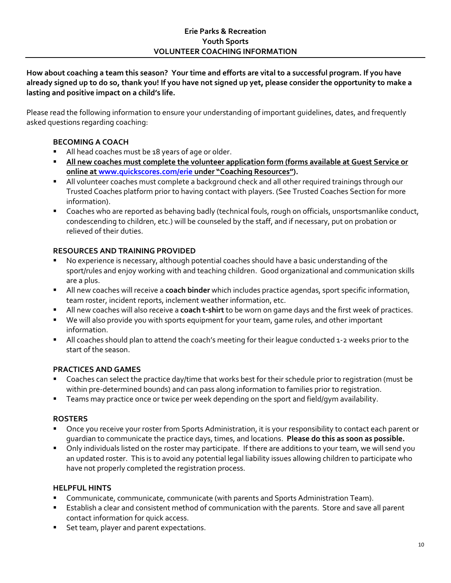### **Erie Parks & Recreation Youth Sports VOLUNTEER COACHING INFORMATION**

**How about coaching a team this season? Your time and efforts are vital to a successful program. If you have already signed up to do so, thank you! If you have not signed up yet, please consider the opportunity to make a lasting and positive impact on a child's life.**

Please read the following information to ensure your understanding of important guidelines, dates, and frequently asked questions regarding coaching:

### **BECOMING A COACH**

- All head coaches must be 18 years of age or older.
- **All new coaches must complete the volunteer application form (forms available at Guest Service or online at [www.quickscores.com/erie](http://www.quickscores.com/erie) under "Coaching Resources").**
- All volunteer coaches must complete a background check and all other required trainings through our Trusted Coaches platform prior to having contact with players. (See Trusted Coaches Section for more information).
- Coaches who are reported as behaving badly (technical fouls, rough on officials, unsportsmanlike conduct, condescending to children, etc.) will be counseled by the staff, and if necessary, put on probation or relieved of their duties.

### **RESOURCES AND TRAINING PROVIDED**

- No experience is necessary, although potential coaches should have a basic understanding of the sport/rules and enjoy working with and teaching children. Good organizational and communication skills are a plus.
- All new coaches will receive a **coach binder** which includes practice agendas, sport specific information, team roster, incident reports, inclement weather information, etc.
- All new coaches will also receive a **coach t-shirt** to be worn on game days and the first week of practices.
- We will also provide you with sports equipment for your team, game rules, and other important information.
- All coaches should plan to attend the coach's meeting for their league conducted 1-2 weeks prior to the start of the season.

### **PRACTICES AND GAMES**

- Coaches can select the practice day/time that works best for their schedule prior to registration (must be within pre-determined bounds) and can pass along information to families prior to registration.
- **Teams may practice once or twice per week depending on the sport and field/gym availability.**

### **ROSTERS**

- Once you receive your roster from Sports Administration, it is your responsibility to contact each parent or guardian to communicate the practice days, times, and locations. **Please do this as soon as possible.**
- Only individuals listed on the roster may participate. If there are additions to your team, we will send you an updated roster. This is to avoid any potential legal liability issues allowing children to participate who have not properly completed the registration process.

### **HELPFUL HINTS**

- Communicate, communicate, communicate (with parents and Sports Administration Team).
- Establish a clear and consistent method of communication with the parents. Store and save all parent contact information for quick access.
- Set team, player and parent expectations.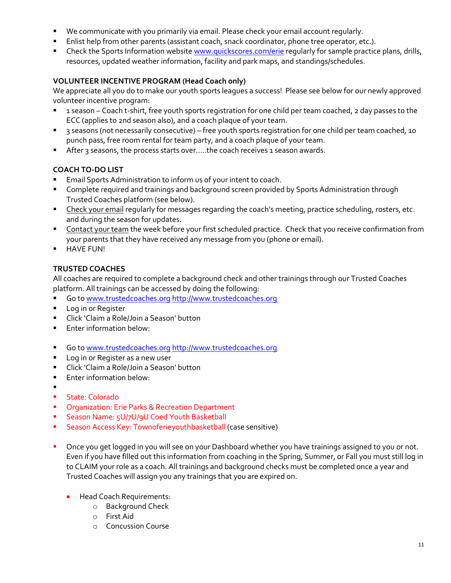- We communicate with you primarily via email. Please check your email account regularly.
- Enlist help from other parents (assistant coach, snack coordinator, phone tree operator, etc.).
- Theck the Sports Information websit[e www.quickscores.com/erie](http://www.quickscores.com/erie) reqularly for sample practice plans, drills, resources, updated weather information, facility and park maps, and standings/schedules.

### **VOLUNTEER INCENTIVE PROGRAM (Head Coach only)**

We appreciate all you do to make our youth sports leagues a success! Please see below for our newly approved volunteer incentive program:

- 1 season Coach t-shirt, free youth sports registration for one child per team coached, 2 day passes to the ECC (applies to 2nd season also), and a coach plaque of your team.
- 3 seasons (not necessarily consecutive) free youth sports registration for one child per team coached, 10 punch pass, free room rental for team party, and a coach plaque of your team.
- After 3 seasons, the process starts over.....the coach receives 1 season awards.

### **COACH TO-DO LIST**

- **Email Sports Administration to inform us of your intent to coach.**
- **EXP** Complete required and trainings and background screen provided by Sports Administration through Trusted Coaches platform (see below).
- **EXPLEX** Check your email regularly for messages regarding the coach's meeting, practice scheduling, rosters, etc. and during the season for updates.
- **Contact your team the week before your first scheduled practice. Check that you receive confirmation from** your parents that they have received any message from you (phone or email).
- **-** HAVE FUN!

### **TRUSTED COACHES**

All coaches are required to complete a background check and other trainings through our Trusted Coaches platform. All trainings can be accessed by doing the following:

- Go t[o www.trustedcoaches.org](http://www.trustedcoaches.org/) [http://www.trustedcoaches.org](http://www.trustedcoaches.org/)
- **Log in or Register**
- **E** Click 'Claim a Role/Join a Season' button
- **Enter information below:**
- Go t[o www.trustedcoaches.org](http://www.trustedcoaches.org/) [http://www.trustedcoaches.org](http://www.trustedcoaches.org/)
- **Log in or Register as a new user**
- Click 'Claim a Role/Join a Season' button
- **Enter information below:**
- . **State: Colorado**
- **Organization: Erie Parks & Recreation Department**
- **Season Name: 5U/7U/9U Coed Youth Basketball**
- **Season Access Key: Townoferieyouthbasketball (case sensitive)**
- Once you get logged in you will see on your Dashboard whether you have trainings assigned to you or not. Even if you have filled out this information from coaching in the Spring, Summer, or Fall you must still log in to CLAIM your role as a coach. All trainings and background checks must be completed once a year and Trusted Coaches will assign you any trainings that you are expired on.
	- **•** Head Coach Requirements:
		- o Background Check
		- o First Aid
		- o Concussion Course